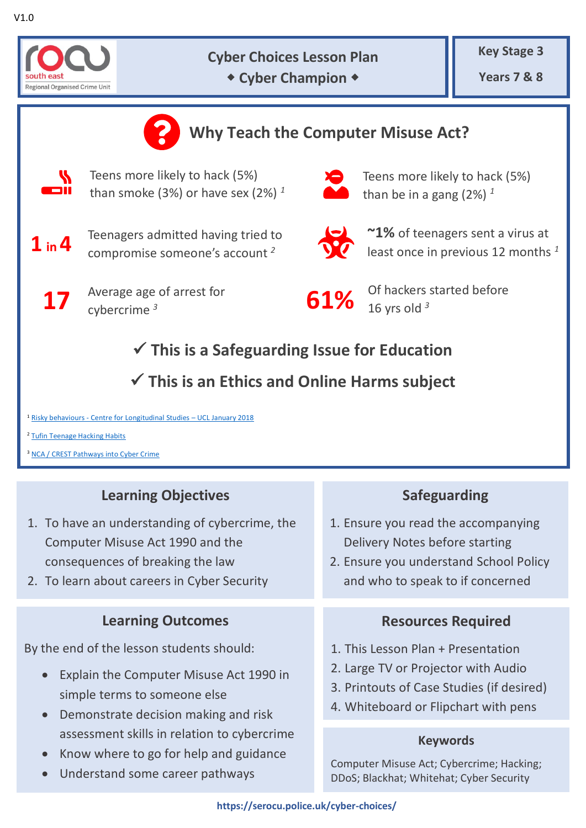

### **Cyber Choices Lesson Plan Cyber Champion +**



<sup>2</sup> [Tufin Teenage Hacking Habits](https://www.tufin.com/pr/tufin-survey-finds-one-in-six-new-york-teenagers-hack-and-rarely-get-caught)

<sup>3</sup> [NCA / CREST Pathways into Cyber Crime](https://nationalcrimeagency.gov.uk/who-we-are/publications/6-pathways-into-cyber-crime-1/file)

# **Learning Objectives**

- 1. To have an understanding of cybercrime, the Computer Misuse Act 1990 and the consequences of breaking the law
- 2. To learn about careers in Cyber Security

### **Learning Outcomes**

By the end of the lesson students should:

- Explain the Computer Misuse Act 1990 in simple terms to someone else
- Demonstrate decision making and risk assessment skills in relation to cybercrime
- Know where to go for help and guidance
- Understand some career pathways

## **Safeguarding**

- 1. Ensure you read the accompanying Delivery Notes before starting
- 2. Ensure you understand School Policy and who to speak to if concerned

## **Resources Required**

- 1. This Lesson Plan + Presentation
- 2. Large TV or Projector with Audio
- 3. Printouts of Case Studies (if desired)
- 4. Whiteboard or Flipchart with pens

#### **Keywords**

Computer Misuse Act; Cybercrime; Hacking; DDoS; Blackhat; Whitehat; Cyber Security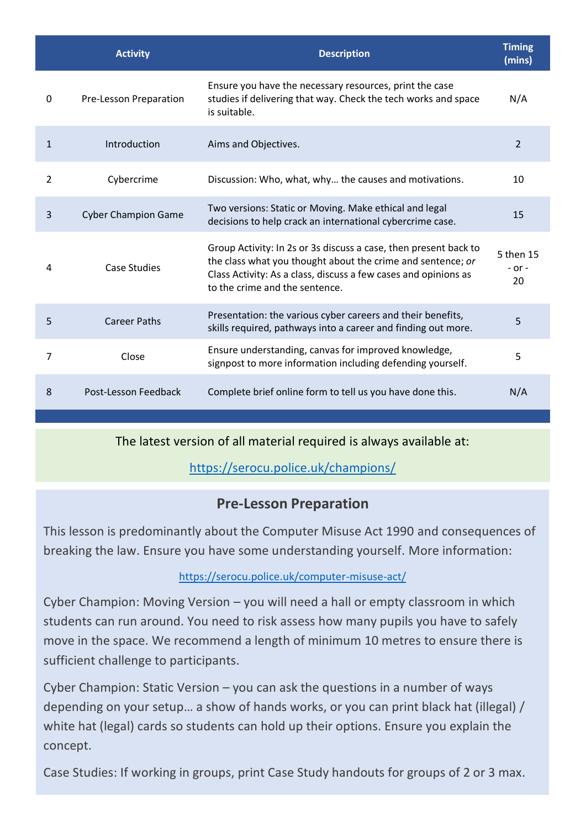|              | <b>Activity</b>            | <b>Description</b>                                                                                                                                                                                                                   | <b>Timing</b><br>(mins)       |
|--------------|----------------------------|--------------------------------------------------------------------------------------------------------------------------------------------------------------------------------------------------------------------------------------|-------------------------------|
| $\Omega$     | Pre-Lesson Preparation     | Ensure you have the necessary resources, print the case<br>studies if delivering that way. Check the tech works and space<br>is suitable.                                                                                            | N/A                           |
| $\mathbf{1}$ | Introduction               | Aims and Objectives.                                                                                                                                                                                                                 | $\overline{2}$                |
| 2            | Cybercrime                 | Discussion: Who, what, why the causes and motivations.                                                                                                                                                                               | 10                            |
| 3            | <b>Cyber Champion Game</b> | Two versions: Static or Moving. Make ethical and legal<br>decisions to help crack an international cybercrime case.                                                                                                                  | 15                            |
| 4            | <b>Case Studies</b>        | Group Activity: In 2s or 3s discuss a case, then present back to<br>the class what you thought about the crime and sentence; or<br>Class Activity: As a class, discuss a few cases and opinions as<br>to the crime and the sentence. | 5 then 15<br>$-$ or $-$<br>20 |
| 5            | <b>Career Paths</b>        | Presentation: the various cyber careers and their benefits,<br>skills required, pathways into a career and finding out more.                                                                                                         | 5                             |
| 7            | Close                      | Ensure understanding, canvas for improved knowledge,<br>signpost to more information including defending yourself.                                                                                                                   | 5                             |
| 8            | Post-Lesson Feedback       | Complete brief online form to tell us you have done this.                                                                                                                                                                            | N/A                           |

The latest version of all material required is always available at:

<https://serocu.police.uk/champions/>

## **Pre-Lesson Preparation**

This lesson is predominantly about the Computer Misuse Act 1990 and consequences of breaking the law. Ensure you have some understanding yourself. More information:

#### <https://serocu.police.uk/computer-misuse-act/>

Cyber Champion: Moving Version – you will need a hall or empty classroom in which students can run around. You need to risk assess how many pupils you have to safely move in the space. We recommend a length of minimum 10 metres to ensure there is sufficient challenge to participants.

Cyber Champion: Static Version – you can ask the questions in a number of ways depending on your setup… a show of hands works, or you can print black hat (illegal) / white hat (legal) cards so students can hold up their options. Ensure you explain the concept.

Case Studies: If working in groups, print Case Study handouts for groups of 2 or 3 max.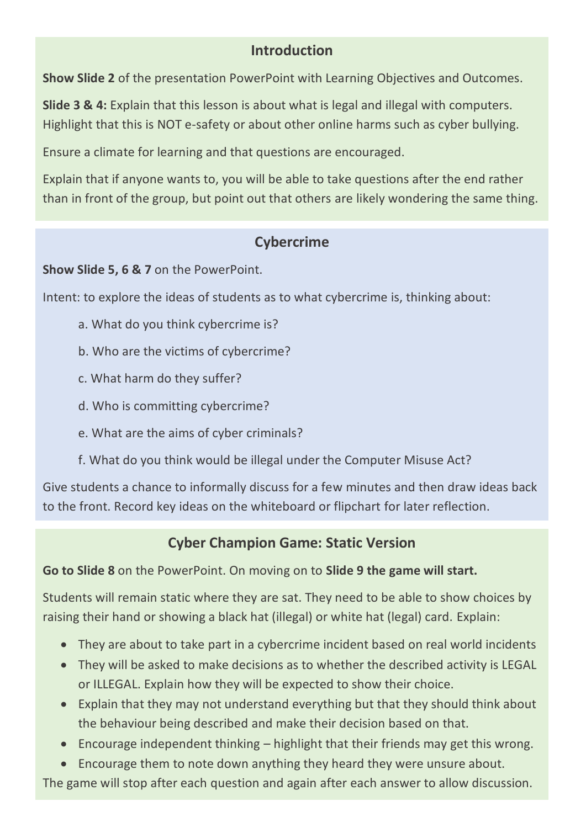### **Introduction**

**Show Slide 2** of the presentation PowerPoint with Learning Objectives and Outcomes.

**Slide 3 & 4:** Explain that this lesson is about what is legal and illegal with computers. Highlight that this is NOT e-safety or about other online harms such as cyber bullying.

Ensure a climate for learning and that questions are encouraged.

Explain that if anyone wants to, you will be able to take questions after the end rather than in front of the group, but point out that others are likely wondering the same thing.

## **Cybercrime**

**Show Slide 5, 6 & 7** on the PowerPoint.

Intent: to explore the ideas of students as to what cybercrime is, thinking about:

- a. What do you think cybercrime is?
- b. Who are the victims of cybercrime?
- c. What harm do they suffer?
- d. Who is committing cybercrime?
- e. What are the aims of cyber criminals?
- f. What do you think would be illegal under the Computer Misuse Act?

Give students a chance to informally discuss for a few minutes and then draw ideas back to the front. Record key ideas on the whiteboard or flipchart for later reflection.

## **Cyber Champion Game: Static Version**

### **Go to Slide 8** on the PowerPoint. On moving on to **Slide 9 the game will start.**

Students will remain static where they are sat. They need to be able to show choices by raising their hand or showing a black hat (illegal) or white hat (legal) card. Explain:

- They are about to take part in a cybercrime incident based on real world incidents
- They will be asked to make decisions as to whether the described activity is LEGAL or ILLEGAL. Explain how they will be expected to show their choice.
- Explain that they may not understand everything but that they should think about the behaviour being described and make their decision based on that.
- Encourage independent thinking highlight that their friends may get this wrong.
- Encourage them to note down anything they heard they were unsure about.

The game will stop after each question and again after each answer to allow discussion.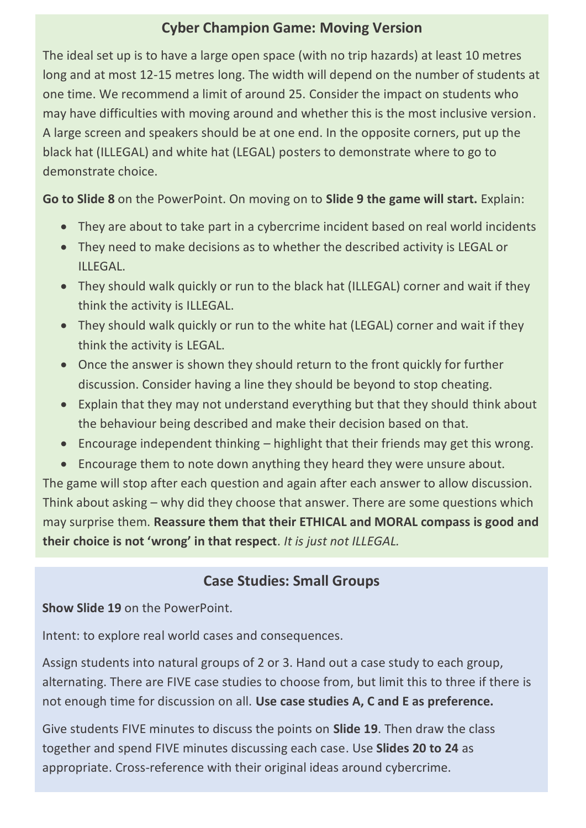## **Cyber Champion Game: Moving Version**

The ideal set up is to have a large open space (with no trip hazards) at least 10 metres long and at most 12-15 metres long. The width will depend on the number of students at one time. We recommend a limit of around 25. Consider the impact on students who may have difficulties with moving around and whether this is the most inclusive version. A large screen and speakers should be at one end. In the opposite corners, put up the black hat (ILLEGAL) and white hat (LEGAL) posters to demonstrate where to go to demonstrate choice.

**Go to Slide 8** on the PowerPoint. On moving on to **Slide 9 the game will start.** Explain:

- They are about to take part in a cybercrime incident based on real world incidents
- They need to make decisions as to whether the described activity is LEGAL or ILLEGAL.
- They should walk quickly or run to the black hat (ILLEGAL) corner and wait if they think the activity is ILLEGAL.
- They should walk quickly or run to the white hat (LEGAL) corner and wait if they think the activity is LEGAL.
- Once the answer is shown they should return to the front quickly for further discussion. Consider having a line they should be beyond to stop cheating.
- Explain that they may not understand everything but that they should think about the behaviour being described and make their decision based on that.
- Encourage independent thinking highlight that their friends may get this wrong.
- Encourage them to note down anything they heard they were unsure about.

The game will stop after each question and again after each answer to allow discussion. Think about asking – why did they choose that answer. There are some questions which may surprise them. **Reassure them that their ETHICAL and MORAL compass is good and their choice is not 'wrong' in that respect**. *It is just not ILLEGAL.*

### **Case Studies: Small Groups**

**Show Slide 19** on the PowerPoint.

Intent: to explore real world cases and consequences.

Assign students into natural groups of 2 or 3. Hand out a case study to each group, alternating. There are FIVE case studies to choose from, but limit this to three if there is not enough time for discussion on all. **Use case studies A, C and E as preference.**

Give students FIVE minutes to discuss the points on **Slide 19**. Then draw the class together and spend FIVE minutes discussing each case. Use **Slides 20 to 24** as appropriate. Cross-reference with their original ideas around cybercrime.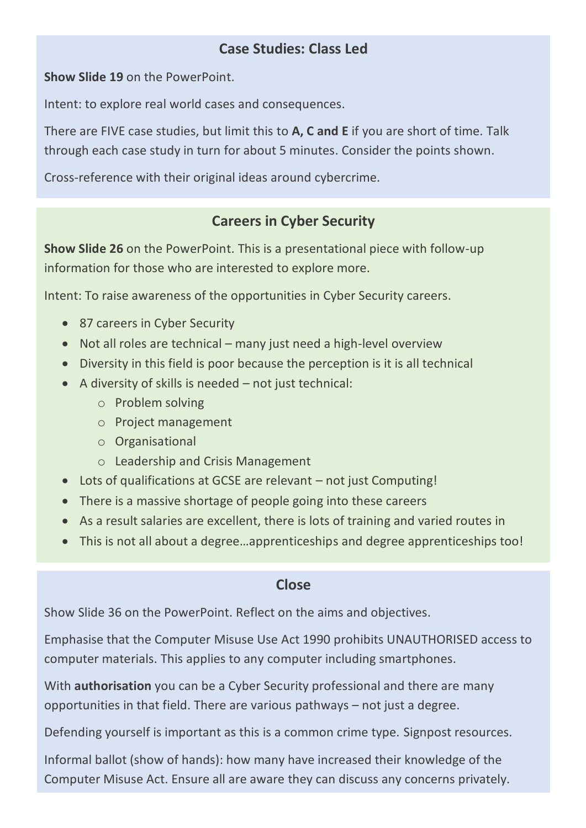## **Case Studies: Class Led**

**Show Slide 19** on the PowerPoint.

Intent: to explore real world cases and consequences.

There are FIVE case studies, but limit this to **A, C and E** if you are short of time. Talk through each case study in turn for about 5 minutes. Consider the points shown.

Cross-reference with their original ideas around cybercrime.

### **Careers in Cyber Security**

**Show Slide 26** on the PowerPoint. This is a presentational piece with follow-up information for those who are interested to explore more.

Intent: To raise awareness of the opportunities in Cyber Security careers.

- 87 careers in Cyber Security
- Not all roles are technical many just need a high-level overview
- Diversity in this field is poor because the perception is it is all technical
- A diversity of skills is needed not just technical:
	- o Problem solving
	- o Project management
	- o Organisational
	- o Leadership and Crisis Management
- Lots of qualifications at GCSE are relevant not just Computing!
- There is a massive shortage of people going into these careers
- As a result salaries are excellent, there is lots of training and varied routes in
- This is not all about a degree…apprenticeships and degree apprenticeships too!

#### **Close**

Show Slide 36 on the PowerPoint. Reflect on the aims and objectives.

Emphasise that the Computer Misuse Use Act 1990 prohibits UNAUTHORISED access to computer materials. This applies to any computer including smartphones.

With **authorisation** you can be a Cyber Security professional and there are many opportunities in that field. There are various pathways – not just a degree.

Defending yourself is important as this is a common crime type. Signpost resources.

Informal ballot (show of hands): how many have increased their knowledge of the Computer Misuse Act. Ensure all are aware they can discuss any concerns privately.